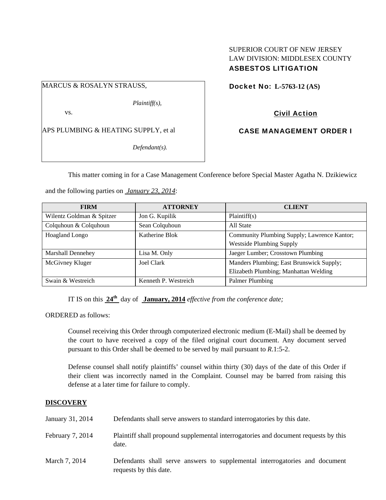## SUPERIOR COURT OF NEW JERSEY LAW DIVISION: MIDDLESEX COUNTY ASBESTOS LITIGATION

### MARCUS & ROSALYN STRAUSS,

*Plaintiff(s),* 

vs.

APS PLUMBING & HEATING SUPPLY, et al

*Defendant(s).* 

Docket No: **L-5763-12 (AS)** 

# Civil Action

CASE MANAGEMENT ORDER I

This matter coming in for a Case Management Conference before Special Master Agatha N. Dzikiewicz

and the following parties on *January 23, 2014*:

| <b>FIRM</b>               | <b>ATTORNEY</b>      | <b>CLIENT</b>                               |
|---------------------------|----------------------|---------------------------------------------|
| Wilentz Goldman & Spitzer | Jon G. Kupilik       | Plaintiff(s)                                |
| Colquhoun & Colquhoun     | Sean Colquhoun       | All State                                   |
| Hoagland Longo            | Katherine Blok       | Community Plumbing Supply; Lawrence Kantor; |
|                           |                      | <b>Westside Plumbing Supply</b>             |
| <b>Marshall Dennehey</b>  | Lisa M. Only         | Jaeger Lumber; Crosstown Plumbing           |
| McGivney Kluger           | Joel Clark           | Manders Plumbing; East Brunswick Supply;    |
|                           |                      | Elizabeth Plumbing; Manhattan Welding       |
| Swain & Westreich         | Kenneth P. Westreich | Palmer Plumbing                             |

IT IS on this **24th** day of **January, 2014** *effective from the conference date;*

ORDERED as follows:

Counsel receiving this Order through computerized electronic medium (E-Mail) shall be deemed by the court to have received a copy of the filed original court document. Any document served pursuant to this Order shall be deemed to be served by mail pursuant to *R*.1:5-2.

Defense counsel shall notify plaintiffs' counsel within thirty (30) days of the date of this Order if their client was incorrectly named in the Complaint. Counsel may be barred from raising this defense at a later time for failure to comply.

### **DISCOVERY**

| January 31, 2014 | Defendants shall serve answers to standard interrogatories by this date.                              |
|------------------|-------------------------------------------------------------------------------------------------------|
| February 7, 2014 | Plaintiff shall propound supplemental interrogatories and document requests by this<br>date.          |
| March 7, 2014    | Defendants shall serve answers to supplemental interrogatories and document<br>requests by this date. |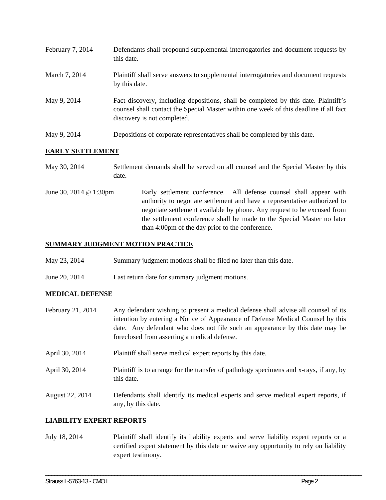| February 7, 2014 | Defendants shall propound supplemental interrogatories and document requests by<br>this date.                                                                                                               |
|------------------|-------------------------------------------------------------------------------------------------------------------------------------------------------------------------------------------------------------|
| March 7, 2014    | Plaintiff shall serve answers to supplemental interrogatories and document requests<br>by this date.                                                                                                        |
| May 9, 2014      | Fact discovery, including depositions, shall be completed by this date. Plaintiff's<br>counsel shall contact the Special Master within one week of this deadline if all fact<br>discovery is not completed. |
| May 9, 2014      | Depositions of corporate representatives shall be completed by this date.                                                                                                                                   |

## **EARLY SETTLEMENT**

| May 30, 2014           | Settlement demands shall be served on all counsel and the Special Master by this<br>date.                                                                                                                                                                                                                                                               |
|------------------------|---------------------------------------------------------------------------------------------------------------------------------------------------------------------------------------------------------------------------------------------------------------------------------------------------------------------------------------------------------|
| June 30, 2014 @ 1:30pm | Early settlement conference. All defense counsel shall appear with<br>authority to negotiate settlement and have a representative authorized to<br>negotiate settlement available by phone. Any request to be excused from<br>the settlement conference shall be made to the Special Master no later<br>than 4:00pm of the day prior to the conference. |

## **SUMMARY JUDGMENT MOTION PRACTICE**

- May 23, 2014 Summary judgment motions shall be filed no later than this date.
- June 20, 2014 Last return date for summary judgment motions.

### **MEDICAL DEFENSE**

- February 21, 2014 Any defendant wishing to present a medical defense shall advise all counsel of its intention by entering a Notice of Appearance of Defense Medical Counsel by this date. Any defendant who does not file such an appearance by this date may be foreclosed from asserting a medical defense.
- April 30, 2014 Plaintiff shall serve medical expert reports by this date.
- April 30, 2014 Plaintiff is to arrange for the transfer of pathology specimens and x-rays, if any, by this date.
- August 22, 2014 Defendants shall identify its medical experts and serve medical expert reports, if any, by this date.

## **LIABILITY EXPERT REPORTS**

July 18, 2014 Plaintiff shall identify its liability experts and serve liability expert reports or a certified expert statement by this date or waive any opportunity to rely on liability expert testimony.

\_\_\_\_\_\_\_\_\_\_\_\_\_\_\_\_\_\_\_\_\_\_\_\_\_\_\_\_\_\_\_\_\_\_\_\_\_\_\_\_\_\_\_\_\_\_\_\_\_\_\_\_\_\_\_\_\_\_\_\_\_\_\_\_\_\_\_\_\_\_\_\_\_\_\_\_\_\_\_\_\_\_\_\_\_\_\_\_\_\_\_\_\_\_\_\_\_\_\_\_\_\_\_\_\_\_\_\_\_\_